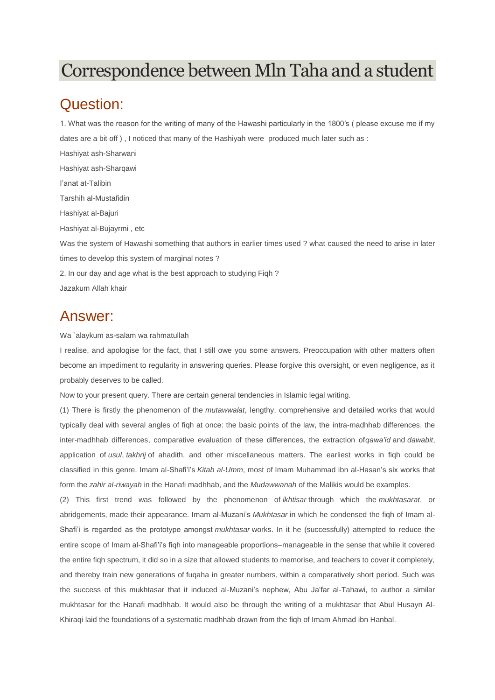## Correspondence between Mln Taha and a student

## Question:

1. What was the reason for the writing of many of the Hawashi particularly in the 1800′s ( please excuse me if my dates are a bit off ) , I noticed that many of the Hashiyah were produced much later such as :

Hashiyat ash-Sharwani Hashiyat ash-Sharqawi I'anat at-Talibin Tarshih al-Mustafidin Hashiyat al-Bajuri Hashiyat al-Bujayrmi , etc Was the system of Hawashi something that authors in earlier times used ? what caused the need to arise in later times to develop this system of marginal notes ? 2. In our day and age what is the best approach to studying Fiqh ? Jazakum Allah khair

## Answer:

Wa `alaykum as-salam wa rahmatullah

I realise, and apologise for the fact, that I still owe you some answers. Preoccupation with other matters often become an impediment to regularity in answering queries. Please forgive this oversight, or even negligence, as it probably deserves to be called.

Now to your present query. There are certain general tendencies in Islamic legal writing.

(1) There is firstly the phenomenon of the *mutawwalat*, lengthy, comprehensive and detailed works that would typically deal with several angles of fiqh at once: the basic points of the law, the intra-madhhab differences, the inter-madhhab differences, comparative evaluation of these differences, the extraction of*qawa'id* and *dawabit*, application of *usul*, *takhrij* of ahadith, and other miscellaneous matters. The earliest works in fiqh could be classified in this genre. Imam al-Shafi'i's *Kitab al-Umm*, most of Imam Muhammad ibn al-Hasan's six works that form the *zahir al-riwayah* in the Hanafi madhhab, and the *Mudawwanah* of the Malikis would be examples.

(2) This first trend was followed by the phenomenon of *ikhtisar* through which the *mukhtasarat*, or abridgements, made their appearance. Imam al-Muzani's *Mukhtasar* in which he condensed the fiqh of Imam al-Shafi'i is regarded as the prototype amongst *mukhtasar* works. In it he (successfully) attempted to reduce the entire scope of Imam al-Shafi'i's fiqh into manageable proportions–manageable in the sense that while it covered the entire fiqh spectrum, it did so in a size that allowed students to memorise, and teachers to cover it completely, and thereby train new generations of fuqaha in greater numbers, within a comparatively short period. Such was the success of this mukhtasar that it induced al-Muzani's nephew, Abu Ja'far al-Tahawi, to author a similar mukhtasar for the Hanafi madhhab. It would also be through the writing of a mukhtasar that Abul Husayn Al-Khiraqi laid the foundations of a systematic madhhab drawn from the fiqh of Imam Ahmad ibn Hanbal.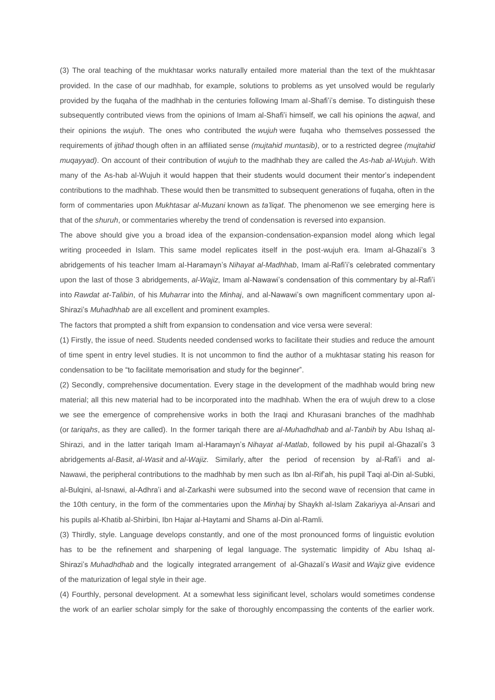(3) The oral teaching of the mukhtasar works naturally entailed more material than the text of the mukhtasar provided. In the case of our madhhab, for example, solutions to problems as yet unsolved would be regularly provided by the fuqaha of the madhhab in the centuries following Imam al-Shafi'i's demise. To distinguish these subsequently contributed views from the opinions of Imam al-Shafi'i himself, we call his opinions the *aqwal*, and their opinions the *wujuh*. The ones who contributed the *wujuh* were fuqaha who themselves possessed the requirements of *ijtihad* though often in an affiliated sense *(mujtahid muntasib)*, or to a restricted degree *(mujtahid muqayyad)*. On account of their contribution of *wujuh* to the madhhab they are called the *As-hab al-Wujuh*. With many of the As-hab al-Wujuh it would happen that their students would document their mentor's independent contributions to the madhhab. These would then be transmitted to subsequent generations of fuqaha, often in the form of commentaries upon *Mukhtasar al-Muzani* known as *ta'liqat*. The phenomenon we see emerging here is that of the *shuruh*, or commentaries whereby the trend of condensation is reversed into expansion.

The above should give you a broad idea of the expansion-condensation-expansion model along which legal writing proceeded in Islam. This same model replicates itself in the post-wujuh era. Imam al-Ghazali's 3 abridgements of his teacher Imam al-Haramayn's *Nihayat al-Madhhab*, Imam al-Rafi'i's celebrated commentary upon the last of those 3 abridgements, *al-Wajiz*, Imam al-Nawawi's condensation of this commentary by al-Rafi'i into *Rawdat at-Talibin*, of his *Muharrar* into the *Minhaj*, and al-Nawawi's own magnificent commentary upon al-Shirazi's *Muhadhhab* are all excellent and prominent examples.

The factors that prompted a shift from expansion to condensation and vice versa were several:

(1) Firstly, the issue of need. Students needed condensed works to facilitate their studies and reduce the amount of time spent in entry level studies. It is not uncommon to find the author of a mukhtasar stating his reason for condensation to be "to facilitate memorisation and study for the beginner".

(2) Secondly, comprehensive documentation. Every stage in the development of the madhhab would bring new material; all this new material had to be incorporated into the madhhab. When the era of wujuh drew to a close we see the emergence of comprehensive works in both the Iraqi and Khurasani branches of the madhhab (or *tariqahs*, as they are called). In the former tariqah there are *al-Muhadhdhab* and *al-Tanbih* by Abu Ishaq al-Shirazi, and in the latter tariqah Imam al-Haramayn's *Nihayat al-Matlab*, followed by his pupil al-Ghazali's 3 abridgements *al-Basit*, *al-Wasit* and *al-Wajiz*. Similarly, after the period of recension by al-Rafi'i and al-Nawawi, the peripheral contributions to the madhhab by men such as Ibn al-Rif'ah, his pupil Taqi al-Din al-Subki, al-Bulqini, al-Isnawi, al-Adhra'i and al-Zarkashi were subsumed into the second wave of recension that came in the 10th century, in the form of the commentaries upon the *Minhaj* by Shaykh al-Islam Zakariyya al-Ansari and his pupils al-Khatib al-Shirbini, Ibn Hajar al-Haytami and Shams al-Din al-Ramli.

(3) Thirdly, style. Language develops constantly, and one of the most pronounced forms of linguistic evolution has to be the refinement and sharpening of legal language. The systematic limpidity of Abu Ishaq al-Shirazi's *Muhadhdhab* and the logically integrated arrangement of al-Ghazali's *Wasit* and *Wajiz* give evidence of the maturization of legal style in their age.

(4) Fourthly, personal development. At a somewhat less siginificant level, scholars would sometimes condense the work of an earlier scholar simply for the sake of thoroughly encompassing the contents of the earlier work.